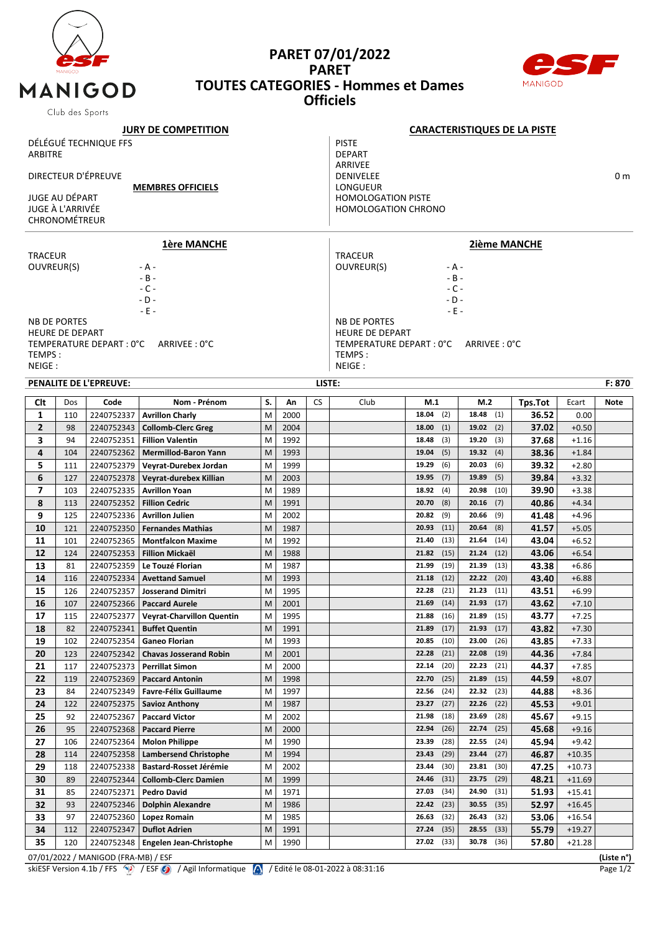

## **PARET 07/01/2022 PARET TOUTES CATEGORIES - Hommes et Dames Officiels**



| Club des oports              |                        |                                     |                                      |    |      |                             |                                |                                     |               |         |          |             |  |  |  |
|------------------------------|------------------------|-------------------------------------|--------------------------------------|----|------|-----------------------------|--------------------------------|-------------------------------------|---------------|---------|----------|-------------|--|--|--|
|                              |                        |                                     | <b>JURY DE COMPETITION</b>           |    |      |                             |                                | <b>CARACTERISTIQUES DE LA PISTE</b> |               |         |          |             |  |  |  |
|                              |                        | DÉLÉGUÉ TECHNIQUE FFS               |                                      |    |      |                             | <b>PISTE</b>                   |                                     |               |         |          |             |  |  |  |
| <b>ARBITRE</b>               |                        |                                     |                                      |    |      | <b>DEPART</b>               |                                |                                     |               |         |          |             |  |  |  |
|                              |                        |                                     |                                      |    |      |                             | ARRIVEE                        |                                     |               |         |          |             |  |  |  |
| DIRECTEUR D'ÉPREUVE          |                        |                                     |                                      |    |      | DENIVELEE<br>0 <sub>m</sub> |                                |                                     |               |         |          |             |  |  |  |
| <b>MEMBRES OFFICIELS</b>     |                        |                                     |                                      |    |      | LONGUEUR                    |                                |                                     |               |         |          |             |  |  |  |
|                              | <b>JUGE AU DÉPART</b>  |                                     |                                      |    |      |                             | <b>HOMOLOGATION PISTE</b>      |                                     |               |         |          |             |  |  |  |
|                              | JUGE À L'ARRIVÉE       |                                     |                                      |    |      |                             | <b>HOMOLOGATION CHRONO</b>     |                                     |               |         |          |             |  |  |  |
| <b>CHRONOMÉTREUR</b>         |                        |                                     |                                      |    |      |                             |                                |                                     |               |         |          |             |  |  |  |
|                              |                        |                                     |                                      |    |      |                             |                                |                                     |               |         |          |             |  |  |  |
|                              |                        |                                     | <u>1ère MANCHE</u>                   |    |      |                             | <b>2ième MANCHE</b>            |                                     |               |         |          |             |  |  |  |
| <b>TRACEUR</b><br>OUVREUR(S) |                        |                                     |                                      |    |      |                             | <b>TRACEUR</b>                 |                                     |               |         |          |             |  |  |  |
|                              |                        |                                     | - A -<br>$- B -$                     |    |      |                             | OUVREUR(S)<br>- A -<br>$- B -$ |                                     |               |         |          |             |  |  |  |
|                              |                        |                                     | $-C -$                               |    |      |                             | $-C -$                         |                                     |               |         |          |             |  |  |  |
|                              |                        |                                     | $-D -$                               |    |      |                             | $-D -$                         |                                     |               |         |          |             |  |  |  |
|                              |                        |                                     | $-E -$                               |    |      |                             | $-E -$                         |                                     |               |         |          |             |  |  |  |
|                              | <b>NB DE PORTES</b>    |                                     |                                      |    |      |                             | <b>NB DE PORTES</b>            |                                     |               |         |          |             |  |  |  |
|                              | <b>HEURE DE DEPART</b> |                                     |                                      |    |      |                             | <b>HEURE DE DEPART</b>         |                                     |               |         |          |             |  |  |  |
|                              |                        | TEMPERATURE DEPART : 0°C            | ARRIVEE: 0°C                         |    |      |                             | TEMPERATURE DEPART : 0°C       |                                     | ARRIVEE: 0°C  |         |          |             |  |  |  |
| TEMPS:                       |                        |                                     |                                      |    |      |                             | TEMPS:                         |                                     |               |         |          |             |  |  |  |
| NEIGE:                       |                        |                                     |                                      |    |      |                             | NEIGE:                         |                                     |               |         |          |             |  |  |  |
|                              |                        | <b>PENALITE DE L'EPREUVE:</b>       |                                      |    |      |                             | LISTE:<br>F: 870               |                                     |               |         |          |             |  |  |  |
|                              |                        |                                     |                                      |    |      |                             |                                |                                     |               |         |          |             |  |  |  |
| Clt                          | Dos                    | Code                                | Nom - Prénom                         | S. | Αn   | <b>CS</b>                   | Club                           | M.1                                 | M.2           | Tps.Tot | Ecart    | <b>Note</b> |  |  |  |
| 1                            | 110                    | 2240752337                          | <b>Avrillon Charly</b>               | M  | 2000 |                             |                                | 18.04<br>(2)                        | 18.48<br>(1)  | 36.52   | 0.00     |             |  |  |  |
| $\overline{2}$               | 98                     | 2240752343                          | <b>Collomb-Clerc Greg</b>            | M  | 2004 |                             |                                | (1)<br>18.00                        | 19.02<br>(2)  | 37.02   | $+0.50$  |             |  |  |  |
| 3                            | 94                     | 2240752351                          | <b>Fillion Valentin</b>              | M  | 1992 |                             |                                | (3)<br>18.48                        | 19.20<br>(3)  | 37.68   | $+1.16$  |             |  |  |  |
| 4                            | 104                    | 2240752362                          | <b>Mermillod-Baron Yann</b>          | M  | 1993 |                             |                                | (5)<br>19.04                        | 19.32<br>(4)  | 38.36   | $+1.84$  |             |  |  |  |
| 5                            | 111                    | 2240752379                          | Veyrat-Durebex Jordan                | M  | 1999 |                             |                                | (6)<br>19.29                        | 20.03<br>(6)  | 39.32   | $+2.80$  |             |  |  |  |
| 6                            | 127                    | 2240752378                          | Veyrat-durebex Killian               | M  | 2003 |                             |                                | 19.95<br>(7)                        | 19.89<br>(5)  | 39.84   | $+3.32$  |             |  |  |  |
| $\overline{\phantom{a}}$     | 103                    | 2240752335                          | <b>Avrillon Yoan</b>                 | M  | 1989 |                             |                                | (4)<br>18.92                        | 20.98<br>(10) | 39.90   | $+3.38$  |             |  |  |  |
| 8                            | 113                    | 2240752352                          | <b>Fillion Cedric</b>                | M  | 1991 |                             |                                | (8)<br>20.70                        | 20.16<br>(7)  | 40.86   | $+4.34$  |             |  |  |  |
| 9                            | 125                    | 2240752336                          | <b>Avrillon Julien</b>               | M  | 2002 |                             |                                | (9)<br>20.82                        | 20.66<br>(9)  | 41.48   | $+4.96$  |             |  |  |  |
| 10                           | 121                    | 2240752350                          | <b>Fernandes Mathias</b>             | M  | 1987 |                             |                                | 20.93<br>(11)                       | 20.64<br>(8)  | 41.57   | $+5.05$  |             |  |  |  |
| 11                           | 101                    | 2240752365                          | <b>Montfalcon Maxime</b>             | M  | 1992 |                             |                                | (13)<br>21.40                       | 21.64<br>(14) | 43.04   | $+6.52$  |             |  |  |  |
| 12                           | 124                    | 2240752353                          | <b>Fillion Mickaël</b>               | M  | 1988 |                             |                                | (15)<br>21.82                       | 21.24<br>(12) | 43.06   | $+6.54$  |             |  |  |  |
| 13                           | 81                     | 2240752359                          | Le Touzé Florian                     | M  | 1987 |                             |                                | (19)<br>21.99                       | 21.39<br>(13) | 43.38   | $+6.86$  |             |  |  |  |
| 14                           | 116                    | 2240752334                          | <b>Avettand Samuel</b>               | M  | 1993 |                             |                                | (12)<br>21.18                       | 22.22<br>(20) | 43.40   | $+6.88$  |             |  |  |  |
| 15                           | 126                    | 2240752357                          | <b>Josserand Dimitri</b>             | M  | 1995 |                             |                                | (21)<br>22.28                       | 21.23<br>(11) | 43.51   | $+6.99$  |             |  |  |  |
| 16                           | 107                    | 2240752366                          | <b>Paccard Aurele</b>                | M  | 2001 |                             |                                | (14)<br>21.69                       | $21.93$ (17)  | 43.62   | $+7.10$  |             |  |  |  |
| 17                           | 115                    | 2240752377                          | Veyrat-Charvillon Quentin            | М  | 1995 |                             |                                | 21.88<br>(16)                       | 21.89<br>(15) | 43.77   | $+7.25$  |             |  |  |  |
| 18                           | 82                     | 2240752341                          | <b>Buffet Quentin</b>                | M  | 1991 |                             |                                | 21.89<br>(17)                       | 21.93<br>(17) | 43.82   | $+7.30$  |             |  |  |  |
| 19                           | 102                    | 2240752354                          | <b>Ganeo Florian</b>                 | M  | 1993 |                             |                                | 20.85<br>(10)                       | 23.00<br>(26) | 43.85   | $+7.33$  |             |  |  |  |
| 20                           | 123                    | 2240752342                          | <b>Chavas Josserand Robin</b>        | M  | 2001 |                             |                                | 22.28<br>(21)                       | 22.08<br>(19) | 44.36   | $+7.84$  |             |  |  |  |
| 21                           | 117                    | 2240752373                          | <b>Perrillat Simon</b>               | M  | 2000 |                             |                                | 22.14<br>(20)                       | 22.23<br>(21) | 44.37   | $+7.85$  |             |  |  |  |
| 22                           | 119                    | 2240752369                          | <b>Paccard Antonin</b>               | M  | 1998 |                             |                                | 22.70<br>(25)                       | 21.89<br>(15) | 44.59   | $+8.07$  |             |  |  |  |
| 23                           | 84                     | 2240752349                          | <b>Favre-Félix Guillaume</b>         | М  | 1997 |                             |                                | 22.56<br>(24)                       | 22.32<br>(23) | 44.88   | +8.36    |             |  |  |  |
| 24                           | 122                    | 2240752375                          | <b>Savioz Anthony</b>                | M  | 1987 |                             |                                | 23.27<br>(27)                       | 22.26<br>(22) | 45.53   | $+9.01$  |             |  |  |  |
| 25                           | 92                     | 2240752367                          | <b>Paccard Victor</b>                | M  | 2002 |                             |                                | (18)<br>21.98                       | 23.69<br>(28) | 45.67   | $+9.15$  |             |  |  |  |
| 26                           | 95                     | 2240752368                          | <b>Paccard Pierre</b>                | M  | 2000 |                             |                                | 22.94<br>(26)                       | 22.74<br>(25) | 45.68   | $+9.16$  |             |  |  |  |
| 27                           | 106                    | 2240752364                          | <b>Molon Philippe</b>                | M  | 1990 |                             |                                | (28)<br>23.39                       | 22.55<br>(24) | 45.94   | $+9.42$  |             |  |  |  |
| 28                           | 114                    | 2240752358                          | <b>Lambersend Christophe</b>         | M  | 1994 |                             |                                | (29)<br>23.43                       | 23.44<br>(27) | 46.87   | $+10.35$ |             |  |  |  |
| 29                           | 118                    | 2240752338                          | Bastard-Rosset Jérémie               | M  | 2002 |                             |                                | 23.44<br>(30)                       | 23.81<br>(30) | 47.25   | $+10.73$ |             |  |  |  |
| 30                           | 89                     | 2240752344                          | <b>Collomb-Clerc Damien</b>          | M  | 1999 |                             |                                | (31)<br>24.46                       | 23.75<br>(29) | 48.21   | $+11.69$ |             |  |  |  |
| 31                           | 85                     | 2240752371                          | <b>Pedro David</b>                   | M  | 1971 |                             |                                | (34)<br>27.03                       | 24.90<br>(31) | 51.93   | $+15.41$ |             |  |  |  |
| 32                           | 93                     | 2240752346                          | <b>Dolphin Alexandre</b>             | M  | 1986 |                             |                                | 22.42<br>(23)                       | 30.55<br>(35) | 52.97   | $+16.45$ |             |  |  |  |
| 33                           | 97                     | 2240752360                          |                                      | M  | 1985 |                             |                                | (32)<br>26.63                       | 26.43<br>(32) | 53.06   | $+16.54$ |             |  |  |  |
| 34                           | 112                    | 2240752347                          | Lopez Romain<br><b>Duflot Adrien</b> | M  | 1991 |                             |                                | (35)<br>27.24                       | 28.55<br>(33) | 55.79   | $+19.27$ |             |  |  |  |
|                              |                        |                                     |                                      |    |      |                             |                                |                                     |               |         |          |             |  |  |  |
| 35                           | 120                    | 2240752348                          | <b>Engelen Jean-Christophe</b>       | M  | 1990 |                             |                                | $27.02$ (33)                        | 30.78<br>(36) | 57.80   | $+21.28$ |             |  |  |  |
|                              |                        | 07/01/2022 / MANIGOD (FRA-MB) / ESF |                                      |    |      |                             |                                |                                     |               |         |          | (Liste n°)  |  |  |  |

skiESF Version 4.1b / FFS  $\langle \cdot \rangle$  / ESF  $\langle \cdot \rangle$  / Agil Informatique  $\langle \cdot \rangle$  / Edité le 08-01-2022 à 08:31:16 Page 1/2